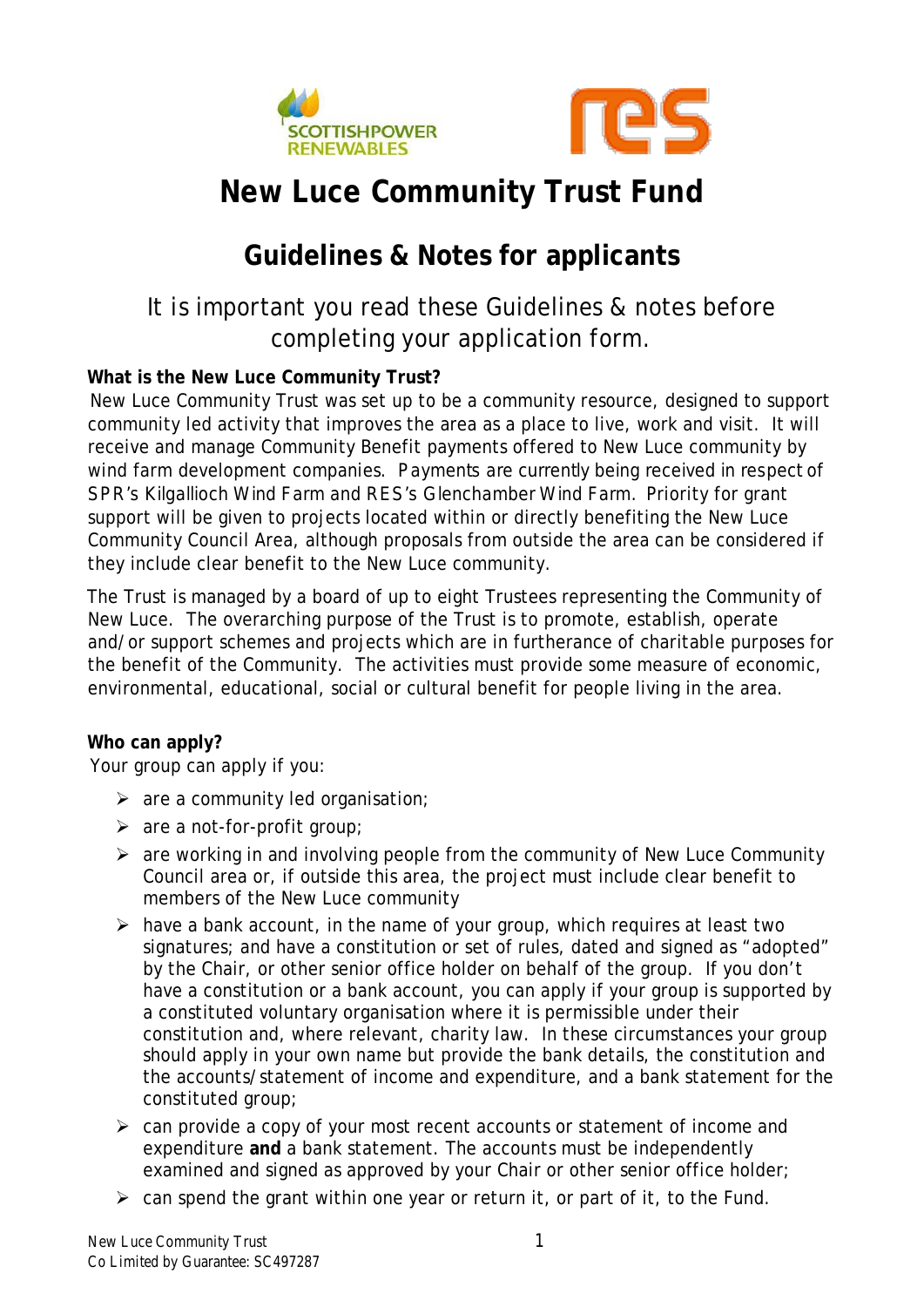



# **New Luce Community Trust Fund**

# **Guidelines & Notes for applicants**

## It is important you read these Guidelines & notes before completing your application form.

#### **What is the New Luce Community Trust?**

New Luce Community Trust was set up to be a community resource, designed to support community led activity that improves the area as a place to live, work and visit. It will receive and manage Community Benefit payments offered to New Luce community by wind farm development companies. Payments are currently being received in respect of SPR's Kilgallioch Wind Farm and RES's Glenchamber Wind Farm. Priority for grant support will be given to projects located within or directly benefiting the New Luce Community Council Area, although proposals from outside the area can be considered if they include clear benefit to the New Luce community.

The Trust is managed by a board of up to eight Trustees representing the Community of New Luce. The overarching purpose of the Trust is to promote, establish, operate and/or support schemes and projects which are in furtherance of charitable purposes for the benefit of the Community. The activities must provide some measure of economic, environmental, educational, social or cultural benefit for people living in the area.

#### **Who can apply?**

Your group can apply if you:

- $\triangleright$  are a community led organisation;
- $\triangleright$  are a not-for-profit group;
- $\triangleright$  are working in and involving people from the community of New Luce Community Council area or, if outside this area, the project must include clear benefit to members of the New Luce community
- $\triangleright$  have a bank account, in the name of your group, which requires at least two signatures; and have a constitution or set of rules, dated and signed as "adopted" by the Chair, or other senior office holder on behalf of the group. If you don't have a constitution or a bank account, you can apply if your group is supported by a constituted voluntary organisation where it is permissible under their constitution and, where relevant, charity law. In these circumstances your group should apply in your own name but provide the bank details, the constitution and the accounts/statement of income and expenditure, and a bank statement for the constituted group;
- $\triangleright$  can provide a copy of your most recent accounts or statement of income and expenditure **and** a bank statement. The accounts must be independently examined and signed as approved by your Chair or other senior office holder;
- $\triangleright$  can spend the grant within one year or return it, or part of it, to the Fund.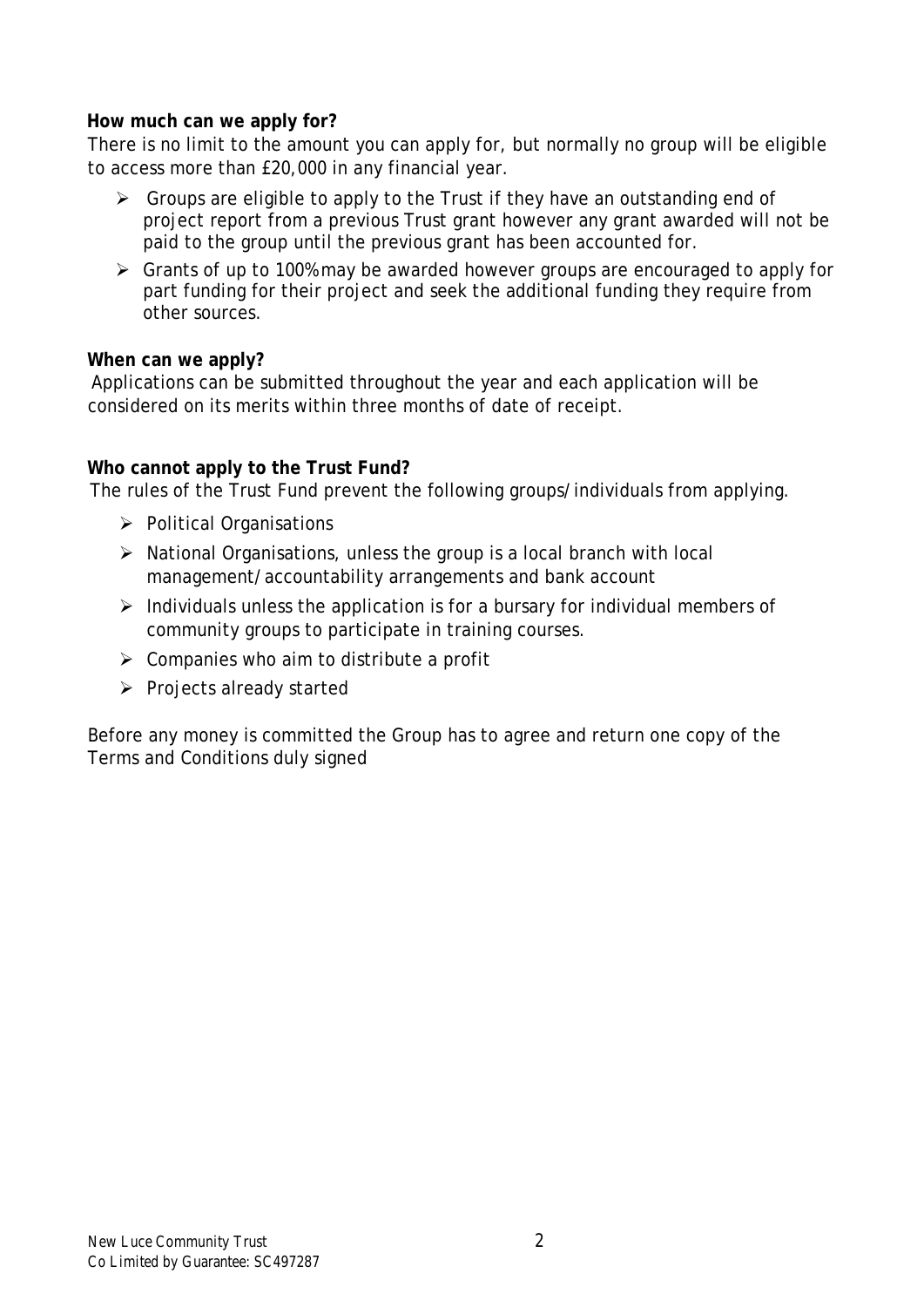#### **How much can we apply for?**

There is no limit to the amount you can apply for, but normally no group will be eligible to access more than £20,000 in any financial year.

- $\triangleright$  Groups are eligible to apply to the Trust if they have an outstanding end of project report from a previous Trust grant however any grant awarded will not be paid to the group until the previous grant has been accounted for.
- Grants of up to 100% may be awarded however groups are encouraged to apply for part funding for their project and seek the additional funding they require from other sources.

#### **When can we apply?**

Applications can be submitted throughout the year and each application will be considered on its merits within three months of date of receipt.

#### **Who cannot apply to the Trust Fund?**

The rules of the Trust Fund prevent the following groups/individuals from applying.

- $\triangleright$  Political Organisations
- $\triangleright$  National Organisations, unless the group is a local branch with local management/accountability arrangements and bank account
- $\triangleright$  Individuals unless the application is for a bursary for individual members of community groups to participate in training courses.
- $\triangleright$  Companies who aim to distribute a profit
- $\triangleright$  Projects already started

Before any money is committed the Group has to agree and return one copy of the Terms and Conditions duly signed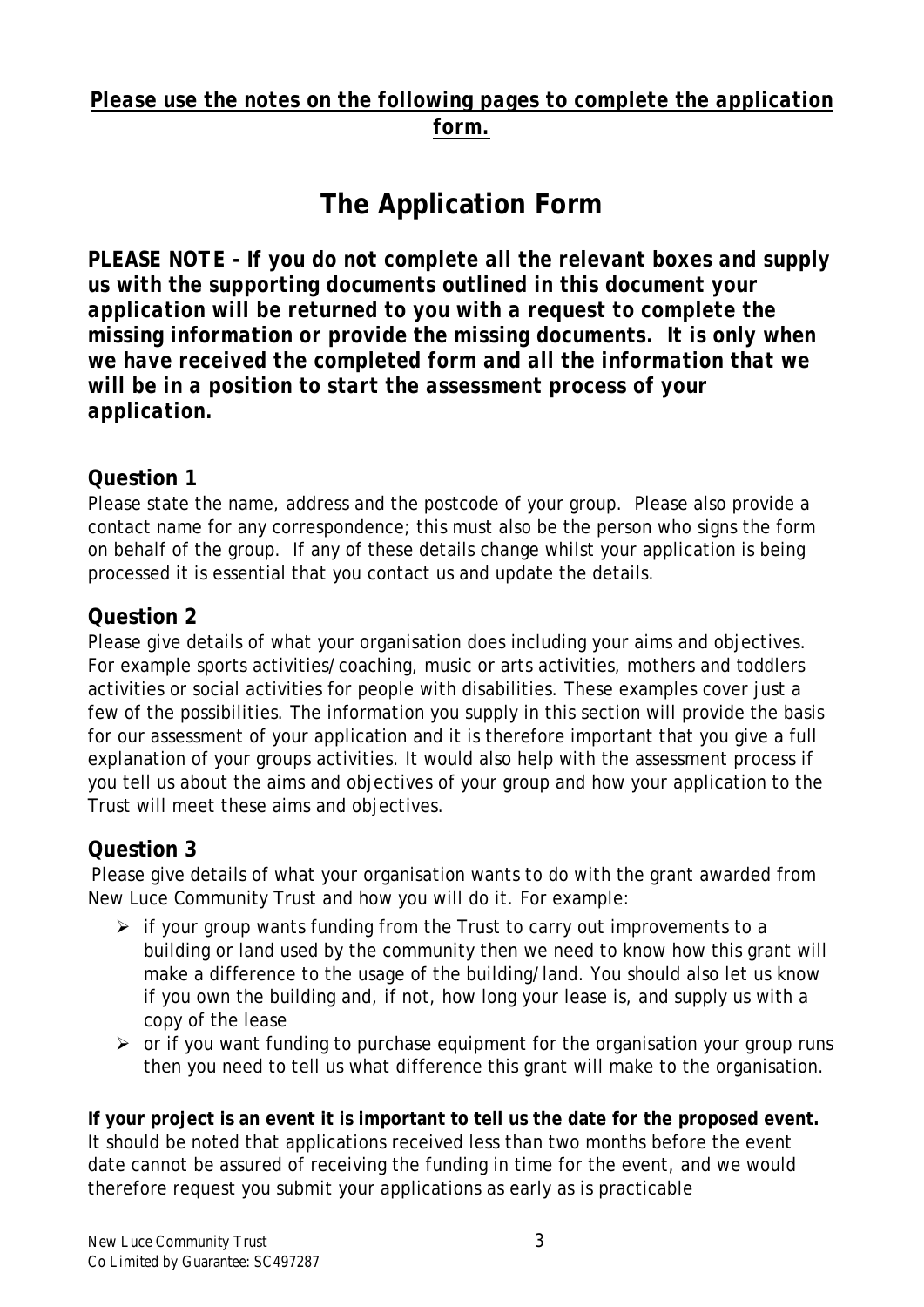### *Please use the notes on the following pages to complete the application form.*

# **The Application Form**

*PLEASE NOTE - If you do not complete all the relevant boxes and supply us with the supporting documents outlined in this document your application will be returned to you with a request to complete the missing information or provide the missing documents. It is only when we have received the completed form and all the information that we will be in a position to start the assessment process of your application.*

### **Question 1**

Please state the name, address and the postcode of your group. Please also provide a contact name for any correspondence; this must also be the person who signs the form on behalf of the group. If any of these details change whilst your application is being processed it is essential that you contact us and update the details.

#### **Question 2**

Please give details of what your organisation does including your aims and objectives. For example sports activities/coaching, music or arts activities, mothers and toddlers activities or social activities for people with disabilities. These examples cover just a few of the possibilities. The information you supply in this section will provide the basis for our assessment of your application and it is therefore important that you give a full explanation of your groups activities. It would also help with the assessment process if you tell us about the aims and objectives of your group and how your application to the Trust will meet these aims and objectives.

#### **Question 3**

Please give details of what your organisation wants to do with the grant awarded from New Luce Community Trust and how you will do it. For example:

- $\triangleright$  if your group wants funding from the Trust to carry out improvements to a building or land used by the community then we need to know how this grant will make a difference to the usage of the building/land. You should also let us know if you own the building and, if not, how long your lease is, and supply us with a copy of the lease
- $\triangleright$  or if you want funding to purchase equipment for the organisation your group runs then you need to tell us what difference this grant will make to the organisation.

**If your project is an event it is important to tell us the date for the proposed event.** It should be noted that applications received less than two months before the event date cannot be assured of receiving the funding in time for the event, and we would therefore request you submit your applications as early as is practicable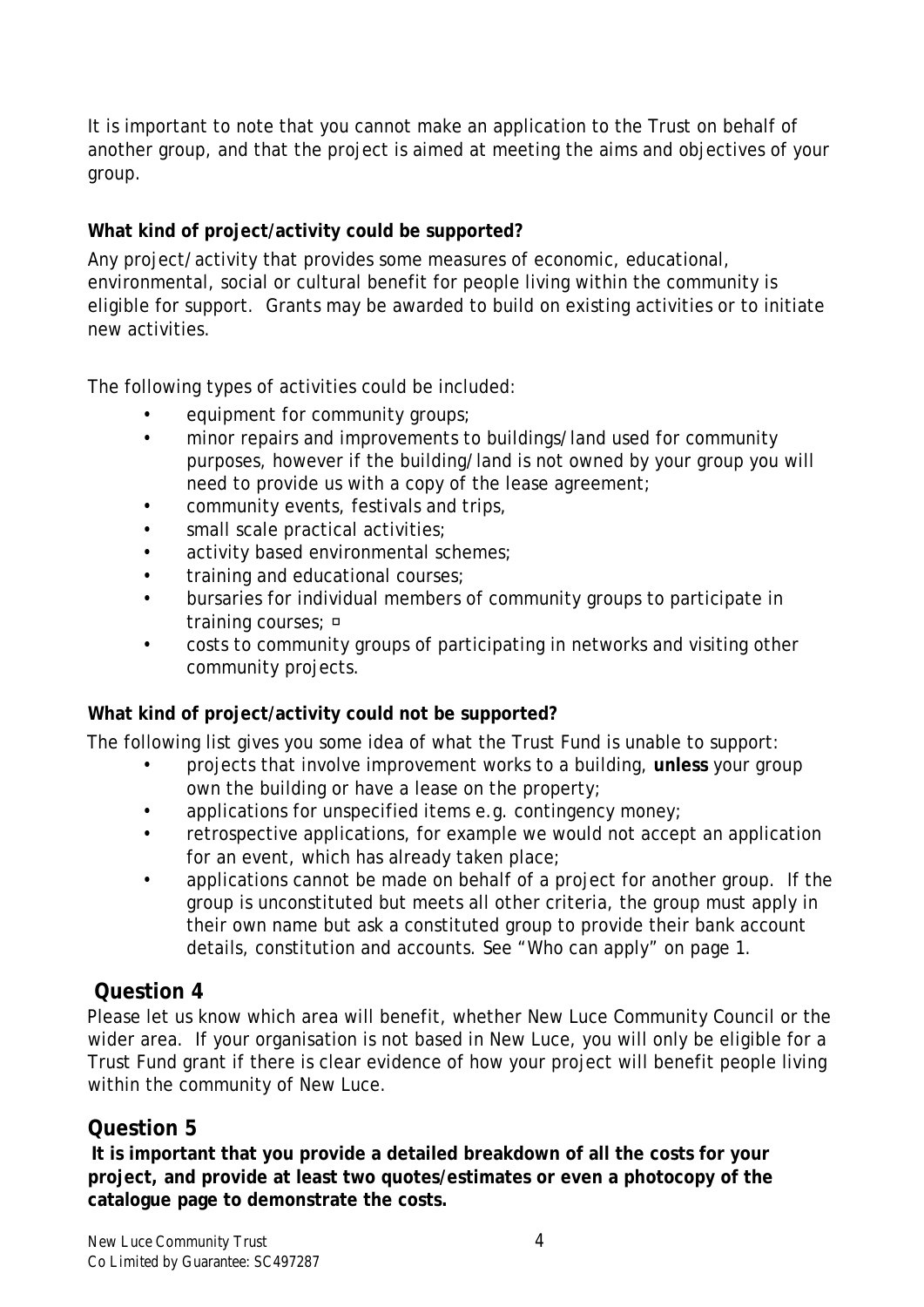It is important to note that you cannot make an application to the Trust on behalf of another group, and that the project is aimed at meeting the aims and objectives of your group.

#### **What kind of project/activity could be supported?**

Any project/activity that provides some measures of economic, educational, environmental, social or cultural benefit for people living within the community is eligible for support. Grants may be awarded to build on existing activities or to initiate new activities.

The following types of activities could be included:

- equipment for community groups;
- minor repairs and improvements to buildings/land used for community purposes, however if the building/land is not owned by your group you will need to provide us with a copy of the lease agreement;
- community events, festivals and trips,
- small scale practical activities;
- activity based environmental schemes;
- training and educational courses;
- bursaries for individual members of community groups to participate in training courses;  $\Box$
- costs to community groups of participating in networks and visiting other community projects.

#### **What kind of project/activity could not be supported?**

The following list gives you some idea of what the Trust Fund is unable to support:

- projects that involve improvement works to a building, **unless** your group own the building or have a lease on the property;
- applications for unspecified items e.g. contingency money;
- retrospective applications, for example we would not accept an application for an event, which has already taken place;
- applications cannot be made on behalf of a project for another group. If the group is unconstituted but meets all other criteria, the group must apply in their own name but ask a constituted group to provide their bank account details, constitution and accounts. See "Who can apply" on page 1.

#### **Question 4**

Please let us know which area will benefit, whether New Luce Community Council or the wider area. If your organisation is not based in New Luce, you will only be eligible for a Trust Fund grant if there is clear evidence of how your project will benefit people living within the community of New Luce.

### **Question 5**

**It is important that you provide a detailed breakdown of all the costs for your project, and provide at least two quotes/estimates or even a photocopy of the catalogue page to demonstrate the costs.**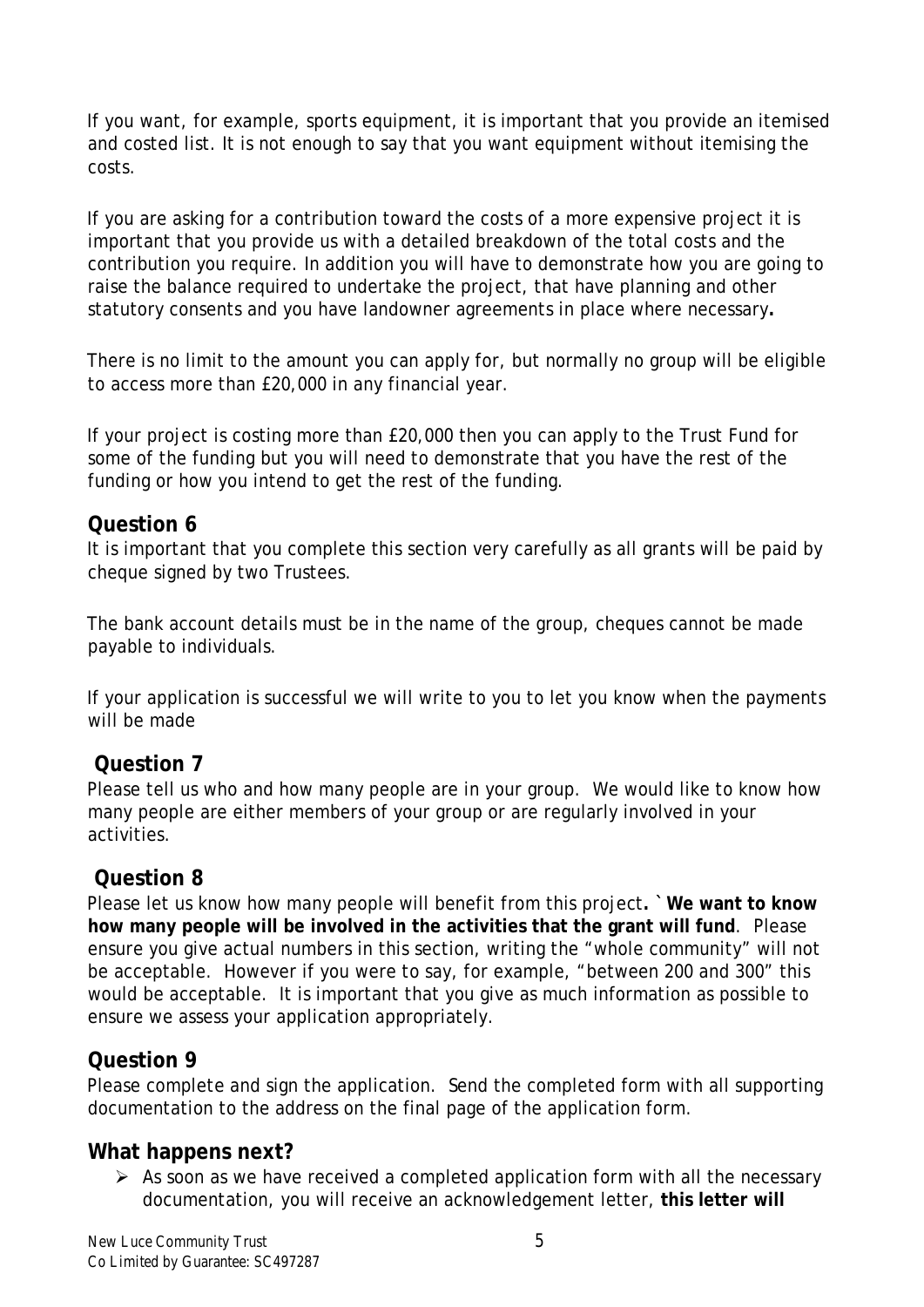If you want, for example, sports equipment, it is important that you provide an itemised and costed list. It is not enough to say that you want equipment without itemising the costs.

If you are asking for a contribution toward the costs of a more expensive project it is important that you provide us with a detailed breakdown of the total costs and the contribution you require. In addition you will have to demonstrate how you are going to raise the balance required to undertake the project, that have planning and other statutory consents and you have landowner agreements in place where necessary**.**

There is no limit to the amount you can apply for, but normally no group will be eligible to access more than £20,000 in any financial year.

If your project is costing more than £20,000 then you can apply to the Trust Fund for some of the funding but you will need to demonstrate that you have the rest of the funding or how you intend to get the rest of the funding.

#### **Question 6**

It is important that you complete this section very carefully as all grants will be paid by cheque signed by two Trustees.

The bank account details must be in the name of the group, cheques cannot be made payable to individuals.

If your application is successful we will write to you to let you know when the payments will be made

#### **Question 7**

Please tell us who and how many people are in your group. We would like to know how many people are either members of your group or are regularly involved in your activities.

#### **Question 8**

Please let us know how many people will benefit from this project**. `We want to know how many people will be involved in the activities that the grant will fund**. Please ensure you give actual numbers in this section, writing the "whole community" will not be acceptable. However if you were to say, for example, "between 200 and 300" this would be acceptable. It is important that you give as much information as possible to ensure we assess your application appropriately.

#### **Question 9**

Please complete and sign the application. Send the completed form with all supporting documentation to the address on the final page of the application form.

#### **What happens next?**

 $\triangleright$  As soon as we have received a completed application form with all the necessary documentation, you will receive an acknowledgement letter, **this letter will**